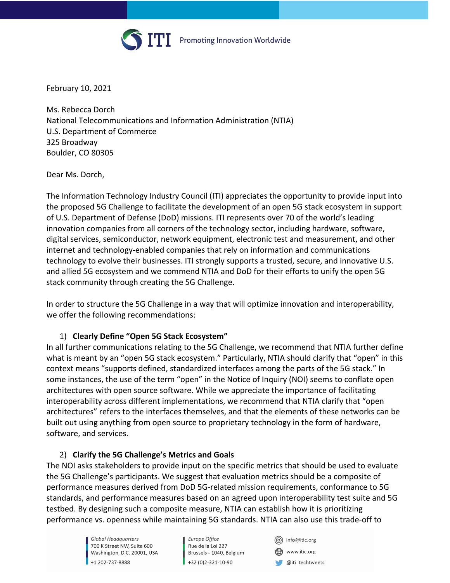

February 10, 2021

Ms. Rebecca Dorch National Telecommunications and Information Administration (NTIA) U.S. Department of Commerce 325 Broadway Boulder, CO 80305

Dear Ms. Dorch,

The Information Technology Industry Council (ITI) appreciates the opportunity to provide input into the proposed 5G Challenge to facilitate the development of an open 5G stack ecosystem in support of U.S. Department of Defense (DoD) missions. ITI represents over 70 of the world's leading innovation companies from all corners of the technology sector, including hardware, software, digital services, semiconductor, network equipment, electronic test and measurement, and other internet and technology-enabled companies that rely on information and communications technology to evolve their businesses. ITI strongly supports a trusted, secure, and innovative U.S. and allied 5G ecosystem and we commend NTIA and DoD for their efforts to unify the open 5G stack community through creating the 5G Challenge.

In order to structure the 5G Challenge in a way that will optimize innovation and interoperability, we offer the following recommendations:

### 1) **Clearly Define "Open 5G Stack Ecosystem"**

In all further communications relating to the 5G Challenge, we recommend that NTIA further define what is meant by an "open 5G stack ecosystem." Particularly, NTIA should clarify that "open" in this context means "supports defined, standardized interfaces among the parts of the 5G stack." In some instances, the use of the term "open" in the Notice of Inquiry (NOI) seems to conflate open architectures with open source software. While we appreciate the importance of facilitating interoperability across different implementations, we recommend that NTIA clarify that "open architectures" refers to the interfaces themselves, and that the elements of these networks can be built out using anything from open source to proprietary technology in the form of hardware, software, and services.

### 2) **Clarify the 5G Challenge's Metrics and Goals**

The NOI asks stakeholders to provide input on the specific metrics that should be used to evaluate the 5G Challenge's participants. We suggest that evaluation metrics should be a composite of performance measures derived from DoD 5G-related mission requirements, conformance to 5G standards, and performance measures based on an agreed upon interoperability test suite and 5G testbed. By designing such a composite measure, NTIA can establish how it is prioritizing performance vs. openness while maintaining 5G standards. NTIA can also use this trade-off to

> Global Headauarters 700 K Street NW, Suite 600 Washington, D.C. 20001, USA +1 202-737-8888

Europe Office Rue de la Loi 227 Brussels - 1040, Belgium +32 (0)2-321-10-90

(@) info@itic.org www.itic.org @iti\_techtweets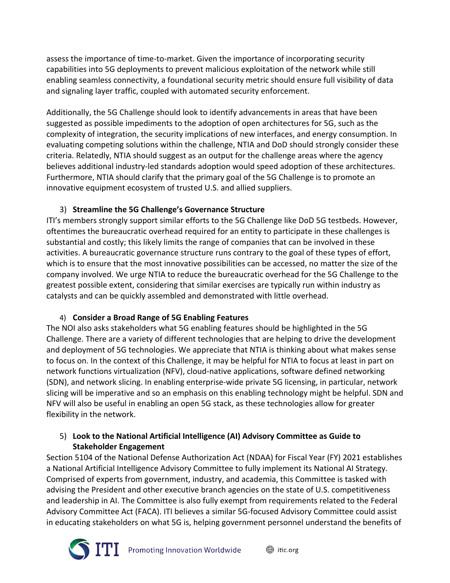assess the importance of time-to-market. Given the importance of incorporating security capabilities into 5G deployments to prevent malicious exploitation of the network while still enabling seamless connectivity, a foundational security metric should ensure full visibility of data and signaling layer traffic, coupled with automated security enforcement.

Additionally, the 5G Challenge should look to identify advancements in areas that have been suggested as possible impediments to the adoption of open architectures for 5G, such as the complexity of integration, the security implications of new interfaces, and energy consumption. In evaluating competing solutions within the challenge, NTIA and DoD should strongly consider these criteria. Relatedly, NTIA should suggest as an output for the challenge areas where the agency believes additional industry-led standards adoption would speed adoption of these architectures. Furthermore, NTIA should clarify that the primary goal of the 5G Challenge is to promote an innovative equipment ecosystem of trusted U.S. and allied suppliers.

# 3) **Streamline the 5G Challenge's Governance Structure**

ITI's members strongly support similar efforts to the 5G Challenge like DoD 5G testbeds. However, oftentimes the bureaucratic overhead required for an entity to participate in these challenges is substantial and costly; this likely limits the range of companies that can be involved in these activities. A bureaucratic governance structure runs contrary to the goal of these types of effort, which is to ensure that the most innovative possibilities can be accessed, no matter the size of the company involved. We urge NTIA to reduce the bureaucratic overhead for the 5G Challenge to the greatest possible extent, considering that similar exercises are typically run within industry as catalysts and can be quickly assembled and demonstrated with little overhead.

## 4) **Consider a Broad Range of 5G Enabling Features**

The NOI also asks stakeholders what 5G enabling features should be highlighted in the 5G Challenge. There are a variety of different technologies that are helping to drive the development and deployment of 5G technologies. We appreciate that NTIA is thinking about what makes sense to focus on. In the context of this Challenge, it may be helpful for NTIA to focus at least in part on network functions virtualization (NFV), cloud-native applications, software defined networking (SDN), and network slicing. In enabling enterprise-wide private 5G licensing, in particular, network slicing will be imperative and so an emphasis on this enabling technology might be helpful. SDN and NFV will also be useful in enabling an open 5G stack, as these technologies allow for greater flexibility in the network.

### 5) **Look to the National Artificial Intelligence (AI) Advisory Committee as Guide to Stakeholder Engagement**

Section 5104 of the National Defense Authorization Act (NDAA) for Fiscal Year (FY) 2021 establishes a National Artificial Intelligence Advisory Committee to fully implement its National AI Strategy. Comprised of experts from government, industry, and academia, this Committee is tasked with advising the President and other executive branch agencies on the state of U.S. competitiveness and leadership in AI. The Committee is also fully exempt from requirements related to the Federal Advisory Committee Act (FACA). ITI believes a similar 5G-focused Advisory Committee could assist in educating stakeholders on what 5G is, helping government personnel understand the benefits of